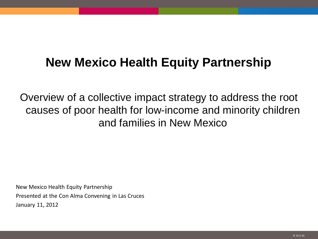# **New Mexico Health Equity Partnership**

Overview of a collective impact strategy to address the root causes of poor health for low-income and minority children and families in New Mexico

New Mexico Health Equity Partnership Presented at the Con Alma Convening in Las Cruces January 11, 2012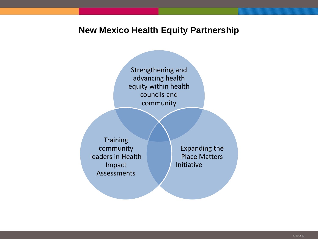### **New Mexico Health Equity Partnership**

Strengthening and advancing health equity within health councils and community

**Training** community leaders in Health Impact Assessments

Expanding the Place Matters Initiative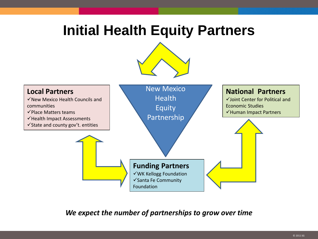# **Initial Health Equity Partners**





*We expect the number of partnerships to grow over time*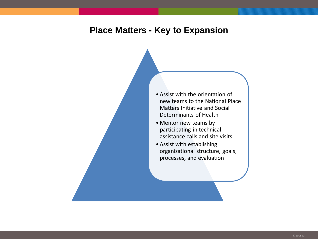### **Place Matters - Key to Expansion**

- Assist with the orientation of new teams to the National Place Matters Initiative and Social Determinants of Health
- Mentor new teams by participating in technical assistance calls and site visits
- Assist with establishing organizational structure, goals, processes, and evaluation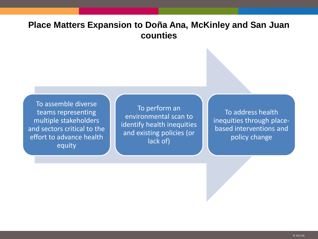## **Place Matters Expansion to Doña Ana, McKinley and San Juan counties**

To assemble diverse teams representing multiple stakeholders and sectors critical to the effort to advance health equity

To perform an environmental scan to identify health inequities and existing policies (or lack of)

To address health inequities through placebased interventions and policy change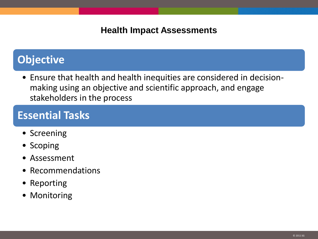## **Health Impact Assessments**

# **Objective**

• Ensure that health and health inequities are considered in decisionmaking using an objective and scientific approach, and engage stakeholders in the process

# **Essential Tasks**

- Screening
- Scoping
- Assessment
- Recommendations
- Reporting
- Monitoring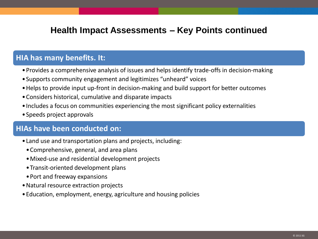## **Health Impact Assessments – Key Points continued**

#### **HIA has many benefits. It:**

- •Provides a comprehensive analysis of issues and helps identify trade-offs in decision-making
- •Supports community engagement and legitimizes "unheard" voices
- •Helps to provide input up-front in decision-making and build support for better outcomes
- •Considers historical, cumulative and disparate impacts
- •Includes a focus on communities experiencing the most significant policy externalities
- •Speeds project approvals

### **HIAs have been conducted on:**

- •Land use and transportation plans and projects, including:
	- •Comprehensive, general, and area plans
	- •Mixed-use and residential development projects
	- •Transit-oriented development plans
	- •Port and freeway expansions
- •Natural resource extraction projects
- •Education, employment, energy, agriculture and housing policies